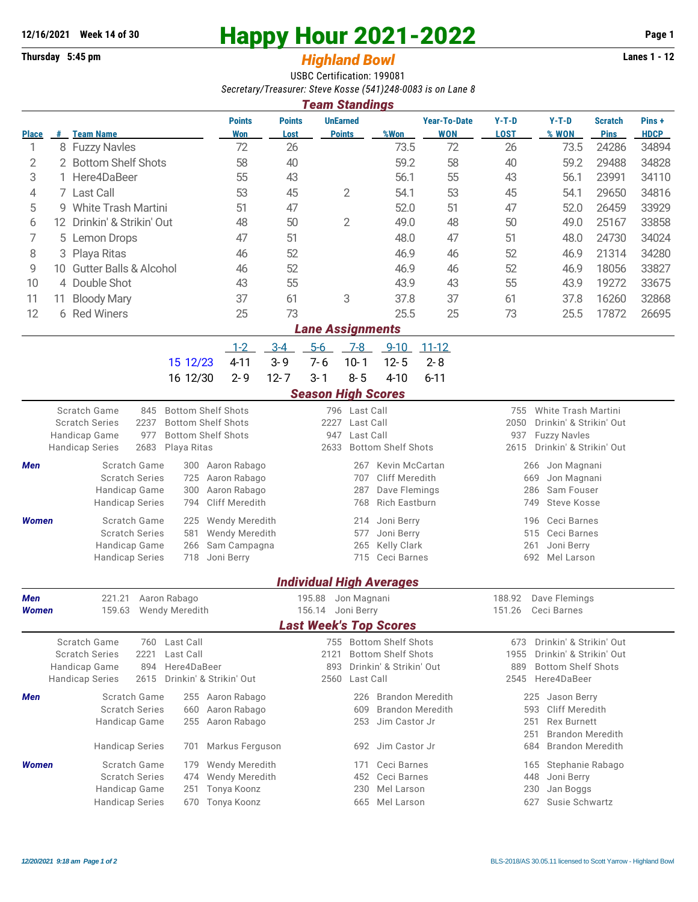## **12/16/2021** Week 14 of 30<br> **Happy Hour 2021-2022** Page 1<br> **Highland Rowl** Lanes 1 - 12<br>
Lanes 1 - 12

## **Thursday 5:45 pm** *Highland Bowl*

USBC Certification: 199081 *Secretary/Treasurer: Steve Kosse (541)248-0083 is on Lane 8*

| <b>Team Standings</b>                                                                                            |                            |                                                            |                                                |                                                     |                                  |                           |                                 |                                   |                                                                  |                           |                               |                      |  |  |
|------------------------------------------------------------------------------------------------------------------|----------------------------|------------------------------------------------------------|------------------------------------------------|-----------------------------------------------------|----------------------------------|---------------------------|---------------------------------|-----------------------------------|------------------------------------------------------------------|---------------------------|-------------------------------|----------------------|--|--|
| <b>Place</b>                                                                                                     |                            | # Team Name                                                | <b>Points</b><br>Won                           | <b>Points</b><br>Lost                               | <b>UnEarned</b><br><b>Points</b> |                           | %Won                            | <b>Year-To-Date</b><br><b>WON</b> | $Y-T-D$<br><b>LOST</b>                                           | $Y-T-D$<br>% WON          | <b>Scratch</b><br><b>Pins</b> | Pins+<br><b>HDCP</b> |  |  |
| 1                                                                                                                |                            | 8 Fuzzy Navles                                             | 72                                             | 26                                                  |                                  |                           | 73.5                            | 72                                | 26                                                               | 73.5                      | 24286                         | 34894                |  |  |
| 2                                                                                                                |                            | 2 Bottom Shelf Shots                                       | 58                                             | 40                                                  |                                  | 59.2                      |                                 | 58                                | 40                                                               | 59.2                      | 29488                         | 34828                |  |  |
| 3                                                                                                                | Here4DaBeer<br>1.          |                                                            | 55                                             | 43                                                  |                                  |                           | 56.1                            | 55                                | 43                                                               | 56.1                      | 23991                         | 34110                |  |  |
| 4                                                                                                                |                            | 7 Last Call                                                | 53                                             | 45                                                  | 2                                |                           | 54.1                            | 53                                | 45                                                               | 54.1                      | 29650                         | 34816                |  |  |
| 5                                                                                                                |                            | 9 White Trash Martini                                      | 51                                             | 47                                                  |                                  |                           | 52.0                            | 51                                | 47                                                               | 52.0                      | 26459                         | 33929                |  |  |
| 6                                                                                                                | 12 Drinkin' & Strikin' Out |                                                            | 48                                             | 50                                                  |                                  | 2<br>49.0                 |                                 | 48                                | 50                                                               | 49.0                      | 25167                         | 33858                |  |  |
| 7                                                                                                                | Lemon Drops<br>5           |                                                            | 47                                             | 51                                                  |                                  | 48.0                      |                                 | 47                                | 51                                                               | 48.0                      | 24730                         | 34024                |  |  |
| 8                                                                                                                | 3 Playa Ritas              |                                                            | 46                                             | 52                                                  |                                  |                           | 46.9                            | 46                                | 52                                                               | 46.9                      | 21314                         | 34280                |  |  |
| 9                                                                                                                | 10                         | <b>Gutter Balls &amp; Alcohol</b>                          | 46                                             | 52                                                  |                                  |                           | 46.9                            | 46                                | 52                                                               | 46.9                      | 18056                         | 33827                |  |  |
| 10                                                                                                               |                            | 4 Double Shot                                              |                                                | 55                                                  |                                  |                           | 43.9                            | 43                                | 55                                                               | 43.9                      | 19272                         | 33675                |  |  |
| 11                                                                                                               | 11                         | <b>Bloody Mary</b>                                         | 37                                             | 61                                                  | 3                                |                           | 37.8                            | 37                                | 61                                                               | 37.8                      | 16260                         | 32868                |  |  |
| 12                                                                                                               |                            | 6 Red Winers                                               | 25                                             | 73                                                  |                                  |                           | 25.5                            | 25                                | 73                                                               | 25.5                      | 17872                         | 26695                |  |  |
| <b>Lane Assignments</b>                                                                                          |                            |                                                            |                                                |                                                     |                                  |                           |                                 |                                   |                                                                  |                           |                               |                      |  |  |
|                                                                                                                  |                            |                                                            | $1 - 2$                                        | $3-4$                                               | $5-6$                            | $7 - 8$                   | $9 - 10$                        | $11 - 12$                         |                                                                  |                           |                               |                      |  |  |
|                                                                                                                  |                            | 15 12/23                                                   | $4 - 11$                                       | $3 - 9$                                             | $7 - 6$                          | $10 - 1$                  | $12 - 5$                        | $2 - 8$                           |                                                                  |                           |                               |                      |  |  |
|                                                                                                                  |                            | 16 12/30                                                   | $2 - 9$                                        | $12 - 7$                                            | $3 - 1$                          | $8 - 5$                   | $4 - 10$                        | $6 - 11$                          |                                                                  |                           |                               |                      |  |  |
|                                                                                                                  |                            |                                                            |                                                |                                                     | <b>Season High Scores</b>        |                           |                                 |                                   |                                                                  |                           |                               |                      |  |  |
|                                                                                                                  |                            | Scratch Game<br><b>Bottom Shelf Shots</b><br>845           |                                                |                                                     |                                  | 796 Last Call             |                                 |                                   | 755                                                              | White Trash Martini       |                               |                      |  |  |
|                                                                                                                  |                            | <b>Bottom Shelf Shots</b><br><b>Scratch Series</b><br>2237 |                                                |                                                     | 2227<br>Last Call                |                           |                                 |                                   | 2050<br>Drinkin' & Strikin' Out                                  |                           |                               |                      |  |  |
|                                                                                                                  |                            | Handicap Game<br>977<br><b>Bottom Shelf Shots</b>          |                                                |                                                     | Last Call<br>947                 |                           |                                 |                                   | 937<br><b>Fuzzy Navles</b>                                       |                           |                               |                      |  |  |
| 2683<br>Playa Ritas<br>2633<br><b>Bottom Shelf Shots</b><br>2615<br><b>Handicap Series</b>                       |                            |                                                            |                                                |                                                     |                                  |                           |                                 |                                   |                                                                  |                           | Drinkin' & Strikin' Out       |                      |  |  |
| Men                                                                                                              |                            | Scratch Game<br>300                                        | Aaron Rabago                                   | Kevin McCartan<br>267                               |                                  |                           |                                 |                                   | Jon Magnani<br>266                                               |                           |                               |                      |  |  |
|                                                                                                                  |                            | <b>Scratch Series</b><br>Aaron Rabago<br>725               |                                                | Cliff Meredith<br>707                               |                                  |                           |                                 |                                   | Jon Magnani<br>669                                               |                           |                               |                      |  |  |
|                                                                                                                  |                            | Handicap Game<br>300<br><b>Handicap Series</b><br>794      | Aaron Rabago<br><b>Cliff Meredith</b>          | Dave Flemings<br>287<br><b>Rich Eastburn</b><br>768 |                                  |                           |                                 |                                   | 286<br>Sam Fouser<br>Steve Kosse<br>749                          |                           |                               |                      |  |  |
|                                                                                                                  |                            |                                                            |                                                |                                                     |                                  |                           |                                 |                                   |                                                                  |                           |                               |                      |  |  |
| <b>Women</b>                                                                                                     |                            | Scratch Game<br>225<br><b>Scratch Series</b><br>581        | <b>Wendy Meredith</b><br><b>Wendy Meredith</b> | Joni Berry<br>214<br>Joni Berry<br>577              |                                  |                           |                                 |                                   | Ceci Barnes<br>196<br>Ceci Barnes<br>515                         |                           |                               |                      |  |  |
|                                                                                                                  |                            | Handicap Game<br>266                                       | Sam Campagna                                   |                                                     | Kelly Clark<br>265               |                           |                                 |                                   | Joni Berry<br>261                                                |                           |                               |                      |  |  |
|                                                                                                                  |                            | <b>Handicap Series</b><br>718                              | Joni Berry                                     |                                                     | 715 Ceci Barnes                  |                           |                                 |                                   | 692<br>Mel Larson                                                |                           |                               |                      |  |  |
|                                                                                                                  |                            |                                                            |                                                |                                                     |                                  |                           |                                 |                                   |                                                                  |                           |                               |                      |  |  |
|                                                                                                                  |                            |                                                            |                                                |                                                     |                                  |                           | <b>Individual High Averages</b> |                                   |                                                                  |                           |                               |                      |  |  |
| Men                                                                                                              |                            | 221.21 Aaron Rabago                                        |                                                |                                                     | 195.88 Jon Magnani               |                           |                                 |                                   |                                                                  | 188.92 Dave Flemings      |                               |                      |  |  |
| 159.63<br>Wendy Meredith<br>151.26<br>156.14 Joni Berry<br>Ceci Barnes<br>Women<br><b>Last Week's Top Scores</b> |                            |                                                            |                                                |                                                     |                                  |                           |                                 |                                   |                                                                  |                           |                               |                      |  |  |
|                                                                                                                  |                            | Scratch Game<br>Last Call<br>760                           |                                                |                                                     |                                  |                           | 755 Bottom Shelf Shots          |                                   | 673                                                              | Drinkin' & Strikin' Out   |                               |                      |  |  |
|                                                                                                                  |                            | <b>Scratch Series</b><br>2221<br>Last Call                 |                                                | 2121                                                |                                  | <b>Bottom Shelf Shots</b> |                                 | 1955                              | Drinkin' & Strikin' Out                                          |                           |                               |                      |  |  |
|                                                                                                                  |                            | Here4DaBeer<br>Handicap Game<br>894                        |                                                |                                                     | Drinkin' & Strikin' Out<br>893   |                           |                                 | 889                               |                                                                  | <b>Bottom Shelf Shots</b> |                               |                      |  |  |
|                                                                                                                  |                            | Drinkin' & Strikin' Out<br><b>Handicap Series</b><br>2615  |                                                |                                                     | 2560<br>Last Call                |                           |                                 |                                   | 2545<br>Here4DaBeer                                              |                           |                               |                      |  |  |
| Men                                                                                                              |                            | <b>Scratch Game</b>                                        | 255 Aaron Rabago                               |                                                     |                                  | 226                       | <b>Brandon Meredith</b>         |                                   |                                                                  | 225 Jason Berry           |                               |                      |  |  |
|                                                                                                                  |                            | <b>Scratch Series</b><br>660                               | Aaron Rabago                                   | <b>Brandon Meredith</b><br>609                      |                                  |                           |                                 |                                   | Cliff Meredith<br>593<br><b>Rex Burnett</b>                      |                           |                               |                      |  |  |
|                                                                                                                  |                            | Handicap Game<br>255                                       | Aaron Rabago                                   |                                                     |                                  | 253                       | Jim Castor Jr                   |                                   | 251                                                              |                           |                               |                      |  |  |
|                                                                                                                  |                            | <b>Handicap Series</b><br>701                              | Markus Ferguson                                |                                                     |                                  | 692                       | Jim Castor Jr                   |                                   | <b>Brandon Meredith</b><br>251<br><b>Brandon Meredith</b><br>684 |                           |                               |                      |  |  |
|                                                                                                                  |                            |                                                            |                                                |                                                     |                                  | 171                       |                                 |                                   |                                                                  |                           |                               |                      |  |  |
| <b>Women</b>                                                                                                     |                            | Scratch Game<br>179                                        | <b>Wendy Meredith</b>                          |                                                     |                                  |                           |                                 | Ceci Barnes                       | Stephanie Rabago<br>165                                          |                           |                               |                      |  |  |
|                                                                                                                  |                            | <b>Scratch Series</b><br>474<br>Handicap Game<br>251       | Wendy Meredith<br>Tonya Koonz                  |                                                     |                                  | 452<br>230                | Ceci Barnes<br>Mel Larson       |                                   | 448<br>Joni Berry<br>Jan Boggs<br>230                            |                           |                               |                      |  |  |
|                                                                                                                  |                            | <b>Handicap Series</b><br>670                              | Tonya Koonz                                    |                                                     | 665<br>Mel Larson<br>627         |                           |                                 |                                   |                                                                  |                           | Susie Schwartz                |                      |  |  |
|                                                                                                                  |                            |                                                            |                                                |                                                     |                                  |                           |                                 |                                   |                                                                  |                           |                               |                      |  |  |